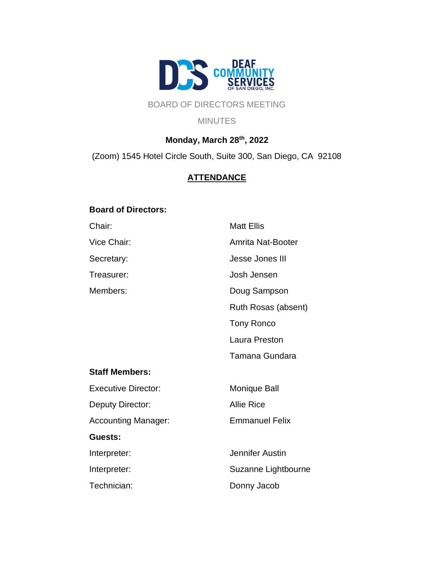

# BOARD OF DIRECTORS MEETING

#### **MINUTES**

# **Monday, March 28th, 2022**

(Zoom) 1545 Hotel Circle South, Suite 300, San Diego, CA 92108

# **ATTENDANCE**

### **Board of Directors:**

| Chair:                     | <b>Matt Ellis</b>        |
|----------------------------|--------------------------|
| Vice Chair:                | <b>Amrita Nat-Booter</b> |
| Secretary:                 | Jesse Jones III          |
| Treasurer:                 | Josh Jensen              |
| Members:                   | Doug Sampson             |
|                            | Ruth Rosas (absent)      |
|                            | <b>Tony Ronco</b>        |
|                            | Laura Preston            |
|                            | Tamana Gundara           |
| <b>Staff Members:</b>      |                          |
| <b>Executive Director:</b> | Monique Ball             |
| Deputy Director:           | <b>Allie Rice</b>        |
| Accounting Manager:        | <b>Emmanuel Felix</b>    |
| Guests:                    |                          |
| Interpreter:               | Jennifer Austin          |
| Interpreter:               | Suzanne Lightbourne      |
| Technician:                | Donny Jacob              |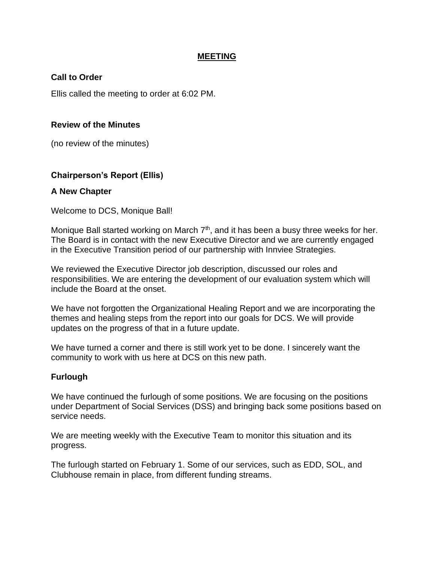### **MEETING**

### **Call to Order**

Ellis called the meeting to order at 6:02 PM.

### **Review of the Minutes**

(no review of the minutes)

### **Chairperson's Report (Ellis)**

### **A New Chapter**

Welcome to DCS, Monique Ball!

Monique Ball started working on March  $7<sup>th</sup>$ , and it has been a busy three weeks for her. The Board is in contact with the new Executive Director and we are currently engaged in the Executive Transition period of our partnership with Innviee Strategies.

We reviewed the Executive Director job description, discussed our roles and responsibilities. We are entering the development of our evaluation system which will include the Board at the onset.

We have not forgotten the Organizational Healing Report and we are incorporating the themes and healing steps from the report into our goals for DCS. We will provide updates on the progress of that in a future update.

We have turned a corner and there is still work yet to be done. I sincerely want the community to work with us here at DCS on this new path.

### **Furlough**

We have continued the furlough of some positions. We are focusing on the positions under Department of Social Services (DSS) and bringing back some positions based on service needs.

We are meeting weekly with the Executive Team to monitor this situation and its progress.

The furlough started on February 1. Some of our services, such as EDD, SOL, and Clubhouse remain in place, from different funding streams.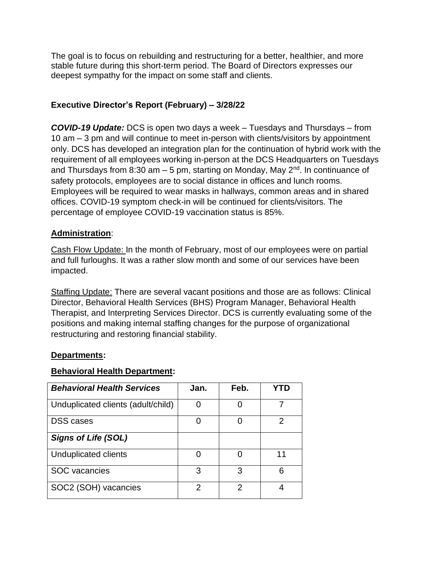The goal is to focus on rebuilding and restructuring for a better, healthier, and more stable future during this short-term period. The Board of Directors expresses our deepest sympathy for the impact on some staff and clients.

## **Executive Director's Report (February) – 3/28/22**

*COVID-19 Update:* DCS is open two days a week – Tuesdays and Thursdays – from 10 am – 3 pm and will continue to meet in-person with clients/visitors by appointment only. DCS has developed an integration plan for the continuation of hybrid work with the requirement of all employees working in-person at the DCS Headquarters on Tuesdays and Thursdays from 8:30 am  $-5$  pm, starting on Monday, May 2<sup>nd</sup>. In continuance of safety protocols, employees are to social distance in offices and lunch rooms. Employees will be required to wear masks in hallways, common areas and in shared offices. COVID-19 symptom check-in will be continued for clients/visitors. The percentage of employee COVID-19 vaccination status is 85%.

### **Administration**:

Cash Flow Update: In the month of February, most of our employees were on partial and full furloughs. It was a rather slow month and some of our services have been impacted.

Staffing Update: There are several vacant positions and those are as follows: Clinical Director, Behavioral Health Services (BHS) Program Manager, Behavioral Health Therapist, and Interpreting Services Director. DCS is currently evaluating some of the positions and making internal staffing changes for the purpose of organizational restructuring and restoring financial stability.

### **Departments:**

### **Behavioral Health Department:**

| <b>Behavioral Health Services</b>  | Jan. | Feb. |    |
|------------------------------------|------|------|----|
| Unduplicated clients (adult/child) |      |      |    |
| <b>DSS</b> cases                   | O    | O    | 2  |
| <b>Signs of Life (SOL)</b>         |      |      |    |
| Unduplicated clients               | O    |      | 11 |
| <b>SOC</b> vacancies               | 3    | 3    | ิค |
| SOC2 (SOH) vacancies               | 2    | 2    |    |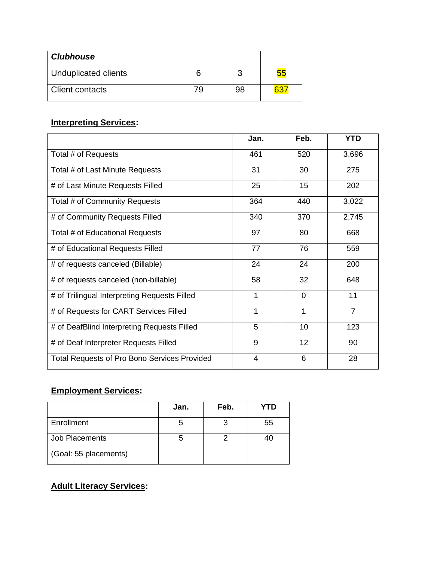| <b>Clubhouse</b>       |    |    |  |
|------------------------|----|----|--|
| Unduplicated clients   | n  |    |  |
| <b>Client contacts</b> | 79 | 98 |  |

# **Interpreting Services:**

|                                                     | Jan. | Feb.        | <b>YTD</b>     |
|-----------------------------------------------------|------|-------------|----------------|
| Total # of Requests                                 | 461  | 520         | 3,696          |
| Total # of Last Minute Requests                     | 31   | 30          | 275            |
| # of Last Minute Requests Filled                    | 25   | 15          | 202            |
| Total # of Community Requests                       | 364  | 440         | 3,022          |
| # of Community Requests Filled                      | 340  | 370         | 2,745          |
| Total # of Educational Requests                     | 97   | 80          | 668            |
| # of Educational Requests Filled                    | 77   | 76          | 559            |
| # of requests canceled (Billable)                   | 24   | 24          | 200            |
| # of requests canceled (non-billable)               | 58   | 32          | 648            |
| # of Trilingual Interpreting Requests Filled        | 1    | $\mathbf 0$ | 11             |
| # of Requests for CART Services Filled              | 1    | 1           | $\overline{7}$ |
| # of DeafBlind Interpreting Requests Filled         | 5    | 10          | 123            |
| # of Deaf Interpreter Requests Filled               | 9    | 12          | 90             |
| <b>Total Requests of Pro Bono Services Provided</b> | 4    | 6           | 28             |

# **Employment Services:**

|                       | Jan. | Feb. | YTD |
|-----------------------|------|------|-----|
| Enrollment            |      |      | 55  |
| Job Placements        |      |      | 40  |
| (Goal: 55 placements) |      |      |     |

# **Adult Literacy Services:**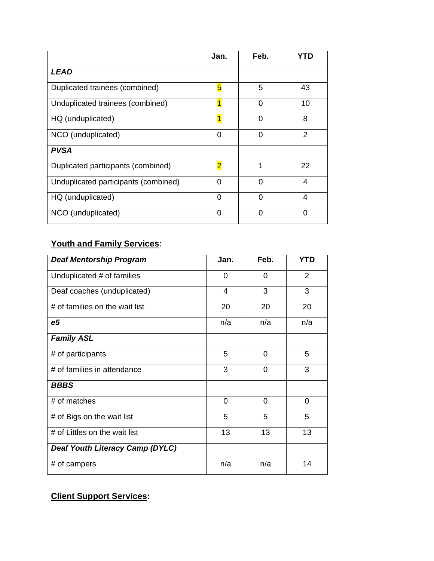|                                      | Jan.                    | Feb.     | YTD            |
|--------------------------------------|-------------------------|----------|----------------|
| <i><b>LEAD</b></i>                   |                         |          |                |
| Duplicated trainees (combined)       | 5                       | 5        | 43             |
| Unduplicated trainees (combined)     |                         | 0        | 10             |
| HQ (unduplicated)                    |                         | O        | 8              |
| NCO (unduplicated)                   | $\Omega$                | $\Omega$ | $\overline{2}$ |
| <b>PVSA</b>                          |                         |          |                |
| Duplicated participants (combined)   | $\overline{\mathbf{2}}$ | 1        | 22             |
| Unduplicated participants (combined) | 0                       | ∩        | 4              |
| HQ (unduplicated)                    | ∩                       |          | 4              |
| NCO (unduplicated)                   | $\Omega$                | $\Omega$ | 0              |

# **Youth and Family Services**:

| <b>Deaf Mentorship Program</b>         | Jan. | Feb.           | <b>YTD</b>     |
|----------------------------------------|------|----------------|----------------|
| Unduplicated # of families             | 0    | 0              | $\overline{2}$ |
| Deaf coaches (unduplicated)            | 4    | 3              | 3              |
| # of families on the wait list         | 20   | 20             | 20             |
| e <sub>5</sub>                         | n/a  | n/a            | n/a            |
| <b>Family ASL</b>                      |      |                |                |
| # of participants                      | 5    | 0              | 5              |
| # of families in attendance            | 3    | 0              | 3              |
| <b>BBBS</b>                            |      |                |                |
| # of matches                           | 0    | $\overline{0}$ | $\overline{0}$ |
| # of Bigs on the wait list             | 5    | 5              | 5              |
| # of Littles on the wait list          | 13   | 13             | 13             |
| <b>Deaf Youth Literacy Camp (DYLC)</b> |      |                |                |
| # of campers                           | n/a  | n/a            | 14             |

# **Client Support Services:**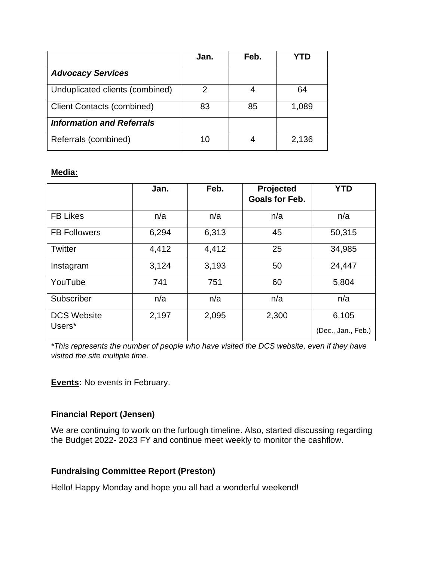|                                   | Jan. | Feb. |       |
|-----------------------------------|------|------|-------|
| <b>Advocacy Services</b>          |      |      |       |
| Unduplicated clients (combined)   | 2    |      | 64    |
| <b>Client Contacts (combined)</b> | 83   | 85   | 1,089 |
| <b>Information and Referrals</b>  |      |      |       |
| Referrals (combined)              | 10   |      | 2,136 |

### **Media:**

|                              | Jan.  | Feb.  | Projected<br><b>Goals for Feb.</b> | <b>YTD</b>                  |
|------------------------------|-------|-------|------------------------------------|-----------------------------|
| <b>FB Likes</b>              | n/a   | n/a   | n/a                                | n/a                         |
| <b>FB Followers</b>          | 6,294 | 6,313 | 45                                 | 50,315                      |
| Twitter                      | 4,412 | 4,412 | 25                                 | 34,985                      |
| Instagram                    | 3,124 | 3,193 | 50                                 | 24,447                      |
| YouTube                      | 741   | 751   | 60                                 | 5,804                       |
| Subscriber                   | n/a   | n/a   | n/a                                | n/a                         |
| <b>DCS Website</b><br>Users* | 2,197 | 2,095 | 2,300                              | 6,105<br>(Dec., Jan., Feb.) |

*\*This represents the number of people who have visited the DCS website, even if they have visited the site multiple time.* 

**Events:** No events in February.

# **Financial Report (Jensen)**

We are continuing to work on the furlough timeline. Also, started discussing regarding the Budget 2022- 2023 FY and continue meet weekly to monitor the cashflow.

### **Fundraising Committee Report (Preston)**

Hello! Happy Monday and hope you all had a wonderful weekend!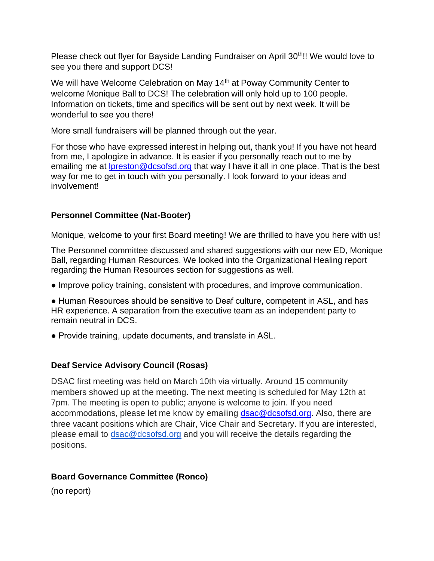Please check out flyer for Bayside Landing Fundraiser on April 30<sup>th</sup>!! We would love to see you there and support DCS!

We will have Welcome Celebration on May 14<sup>th</sup> at Poway Community Center to welcome Monique Ball to DCS! The celebration will only hold up to 100 people. Information on tickets, time and specifics will be sent out by next week. It will be wonderful to see you there!

More small fundraisers will be planned through out the year.

For those who have expressed interest in helping out, thank you! If you have not heard from me, I apologize in advance. It is easier if you personally reach out to me by emailing me at [lpreston@dcsofsd.org](mailto:lpreston@dcsofsd.org) that way I have it all in one place. That is the best way for me to get in touch with you personally. I look forward to your ideas and involvement!

## **Personnel Committee (Nat-Booter)**

Monique, welcome to your first Board meeting! We are thrilled to have you here with us!

The Personnel committee discussed and shared suggestions with our new ED, Monique Ball, regarding Human Resources. We looked into the Organizational Healing report regarding the Human Resources section for suggestions as well.

- Improve policy training, consistent with procedures, and improve communication.
- Human Resources should be sensitive to Deaf culture, competent in ASL, and has HR experience. A separation from the executive team as an independent party to remain neutral in DCS.
- Provide training, update documents, and translate in ASL.

# **Deaf Service Advisory Council (Rosas)**

DSAC first meeting was held on March 10th via virtually. Around 15 community members showed up at the meeting. The next meeting is scheduled for May 12th at 7pm. The meeting is open to public; anyone is welcome to join. If you need accommodations, please let me know by emailing [dsac@dcsofsd.org.](mailto:dsac@dcsofsd.org) Also, there are three vacant positions which are Chair, Vice Chair and Secretary. If you are interested, please email to [dsac@dcsofsd.org](mailto:dsac@dcsofsd.org) and you will receive the details regarding the positions.

# **Board Governance Committee (Ronco)**

(no report)